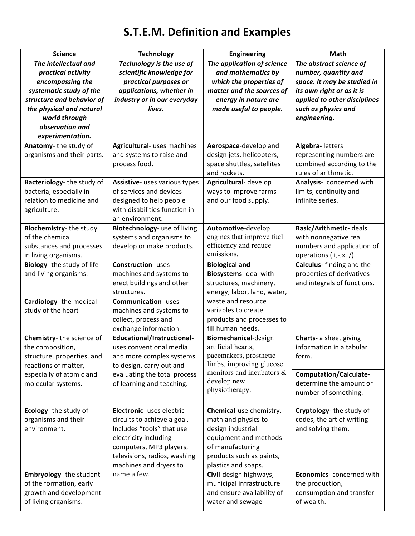## **S.T.E.M. Definition and Examples**

| <b>Science</b>                | <b>Technology</b>                         | <b>Engineering</b>                                | Math                           |
|-------------------------------|-------------------------------------------|---------------------------------------------------|--------------------------------|
| The intellectual and          | Technology is the use of                  | The application of science                        | The abstract science of        |
| practical activity            | scientific knowledge for                  | and mathematics by                                | number, quantity and           |
| encompassing the              | practical purposes or                     | which the properties of                           | space. It may be studied in    |
| systematic study of the       | applications, whether in                  | matter and the sources of                         | its own right or as it is      |
| structure and behavior of     | industry or in our everyday               | energy in nature are                              | applied to other disciplines   |
| the physical and natural      | lives.                                    | made useful to people.                            | such as physics and            |
| world through                 |                                           |                                                   | engineering.                   |
| observation and               |                                           |                                                   |                                |
| experimentation.              |                                           |                                                   |                                |
| Anatomy-the study of          | Agricultural- uses machines               | Aerospace-develop and                             | Algebra- letters               |
| organisms and their parts.    | and systems to raise and                  | design jets, helicopters,                         | representing numbers are       |
|                               | process food.                             | space shuttles, satellites                        | combined according to the      |
|                               |                                           | and rockets.                                      | rules of arithmetic.           |
| Bacteriology-the study of     | Assistive- uses various types             | Agricultural-develop                              | Analysis- concerned with       |
| bacteria, especially in       | of services and devices                   | ways to improve farms                             | limits, continuity and         |
| relation to medicine and      | designed to help people                   | and our food supply.                              | infinite series.               |
| agriculture.                  | with disabilities function in             |                                                   |                                |
|                               | an environment.                           |                                                   |                                |
| Biochemistry-the study        | Biotechnology- use of living              | Automotive-develop                                | <b>Basic/Arithmetic- deals</b> |
| of the chemical               | systems and organisms to                  | engines that improve fuel                         | with nonnegative real          |
| substances and processes      | develop or make products.                 | efficiency and reduce<br>emissions.               | numbers and application of     |
| in living organisms.          | <b>Construction-</b> uses                 |                                                   | operations $(+,-,x, /).$       |
| Biology- the study of life    |                                           | <b>Biological and</b>                             | Calculus- finding and the      |
| and living organisms.         | machines and systems to                   | Biosystems- deal with                             | properties of derivatives      |
|                               | erect buildings and other                 | structures, machinery,                            | and integrals of functions.    |
| Cardiology-the medical        | structures.<br><b>Communication-</b> uses | energy, labor, land, water,<br>waste and resource |                                |
| study of the heart            | machines and systems to                   | variables to create                               |                                |
|                               | collect, process and                      | products and processes to                         |                                |
|                               | exchange information.                     | fill human needs.                                 |                                |
| Chemistry-the science of      | Educational/Instructional-                | Biomechanical-design                              | Charts- a sheet giving         |
| the composition,              | uses conventional media                   | artificial hearts,                                | information in a tabular       |
| structure, properties, and    | and more complex systems                  | pacemakers, prosthetic                            | form.                          |
| reactions of matter,          | to design, carry out and                  | limbs, improving glucose                          |                                |
| especially of atomic and      | evaluating the total process              | monitors and incubators &                         | <b>Computation/Calculate-</b>  |
| molecular systems.            | of learning and teaching.                 | develop new                                       | determine the amount or        |
|                               |                                           | physiotherapy.                                    | number of something.           |
|                               |                                           |                                                   |                                |
| Ecology-the study of          | Electronic- uses electric                 | Chemical-use chemistry,                           | Cryptology- the study of       |
| organisms and their           | circuits to achieve a goal.               | math and physics to                               | codes, the art of writing      |
| environment.                  | Includes "tools" that use                 | design industrial                                 | and solving them.              |
|                               | electricity including                     | equipment and methods                             |                                |
|                               | computers, MP3 players,                   | of manufacturing                                  |                                |
|                               | televisions, radios, washing              | products such as paints,                          |                                |
|                               | machines and dryers to                    | plastics and soaps.                               |                                |
| <b>Embryology-the student</b> | name a few.                               | Civil-design highways,                            | Economics-concerned with       |
| of the formation, early       |                                           | municipal infrastructure                          | the production,                |
| growth and development        |                                           | and ensure availability of                        | consumption and transfer       |
| of living organisms.          |                                           | water and sewage                                  | of wealth.                     |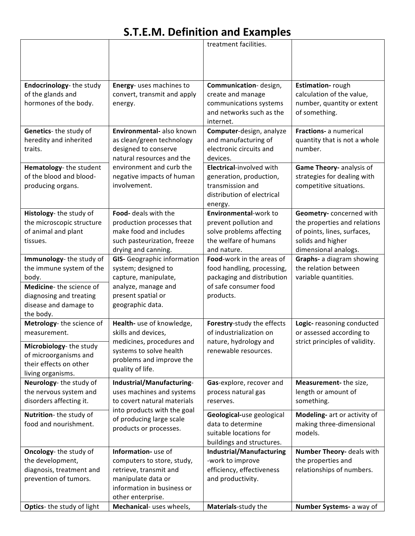## **S.T.E.M. Definition and Examples**

|                                                                                                                                                          |                                                                                                                                                          | treatment facilities.                                                                                                       |                                                                                                                                     |
|----------------------------------------------------------------------------------------------------------------------------------------------------------|----------------------------------------------------------------------------------------------------------------------------------------------------------|-----------------------------------------------------------------------------------------------------------------------------|-------------------------------------------------------------------------------------------------------------------------------------|
| Endocrinology-the study<br>of the glands and<br>hormones of the body.                                                                                    | Energy- uses machines to<br>convert, transmit and apply<br>energy.                                                                                       | Communication-design,<br>create and manage<br>communications systems<br>and networks such as the<br>internet.               | <b>Estimation-</b> rough<br>calculation of the value,<br>number, quantity or extent<br>of something.                                |
| Genetics-the study of<br>heredity and inherited<br>traits.                                                                                               | Environmental- also known<br>as clean/green technology<br>designed to conserve<br>natural resources and the                                              | Computer-design, analyze<br>and manufacturing of<br>electronic circuits and<br>devices.                                     | <b>Fractions-</b> a numerical<br>quantity that is not a whole<br>number.                                                            |
| Hematology-the student<br>of the blood and blood-<br>producing organs.                                                                                   | environment and curb the<br>negative impacts of human<br>involvement.                                                                                    | Electrical-involved with<br>generation, production,<br>transmission and<br>distribution of electrical<br>energy.            | Game Theory- analysis of<br>strategies for dealing with<br>competitive situations.                                                  |
| Histology- the study of<br>the microscopic structure<br>of animal and plant<br>tissues.                                                                  | Food- deals with the<br>production processes that<br>make food and includes<br>such pasteurization, freeze<br>drying and canning.                        | Environmental-work to<br>prevent pollution and<br>solve problems affecting<br>the welfare of humans<br>and nature.          | Geometry-concerned with<br>the properties and relations<br>of points, lines, surfaces,<br>solids and higher<br>dimensional analogs. |
| Immunology-the study of<br>the immune system of the<br>body.<br>Medicine-the science of<br>diagnosing and treating<br>disease and damage to<br>the body. | <b>GIS-</b> Geographic information<br>system; designed to<br>capture, manipulate,<br>analyze, manage and<br>present spatial or<br>geographic data.       | Food-work in the areas of<br>food handling, processing,<br>packaging and distribution<br>of safe consumer food<br>products. | Graphs- a diagram showing<br>the relation between<br>variable quantities.                                                           |
| Metrology-the science of<br>measurement.<br>Microbiology- the study<br>of microorganisms and<br>their effects on other<br>living organisms.              | Health- use of knowledge,<br>skills and devices,<br>medicines, procedures and<br>systems to solve health<br>problems and improve the<br>quality of life. | Forestry-study the effects<br>of industrialization on<br>nature, hydrology and<br>renewable resources.                      | Logic- reasoning conducted<br>or assessed according to<br>strict principles of validity.                                            |
| Neurology- the study of<br>the nervous system and<br>disorders affecting it.                                                                             | Industrial/Manufacturing-<br>uses machines and systems<br>to covert natural materials                                                                    | Gas-explore, recover and<br>process natural gas<br>reserves.                                                                | Measurement- the size,<br>length or amount of<br>something.                                                                         |
| Nutrition-the study of<br>food and nourishment.                                                                                                          | into products with the goal<br>of producing large scale<br>products or processes.                                                                        | Geological-use geological<br>data to determine<br>suitable locations for<br>buildings and structures.                       | Modeling- art or activity of<br>making three-dimensional<br>models.                                                                 |
| <b>Oncology-</b> the study of<br>the development,<br>diagnosis, treatment and<br>prevention of tumors.                                                   | Information- use of<br>computers to store, study,<br>retrieve, transmit and<br>manipulate data or<br>information in business or<br>other enterprise.     | Industrial/Manufacturing<br>-work to improve<br>efficiency, effectiveness<br>and productivity.                              | Number Theory- deals with<br>the properties and<br>relationships of numbers.                                                        |
| Optics- the study of light                                                                                                                               | Mechanical- uses wheels,                                                                                                                                 | Materials-study the                                                                                                         | Number Systems- a way of                                                                                                            |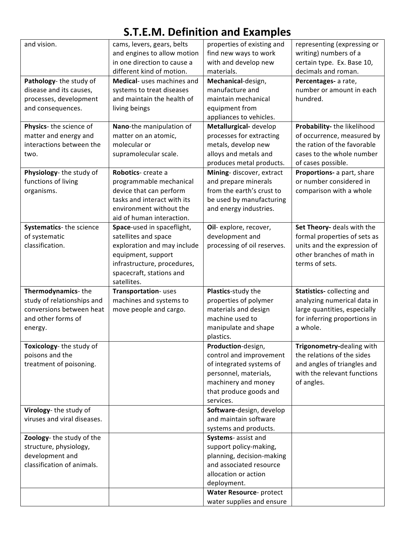## **S.T.E.M. Definition and Examples**

| and vision.                                       | cams, levers, gears, belts  | properties of existing and                | representing (expressing or                               |
|---------------------------------------------------|-----------------------------|-------------------------------------------|-----------------------------------------------------------|
|                                                   | and engines to allow motion | find new ways to work                     | writing) numbers of a                                     |
|                                                   | in one direction to cause a | with and develop new                      | certain type. Ex. Base 10,                                |
|                                                   | different kind of motion.   | materials.                                | decimals and roman.                                       |
| Pathology- the study of                           | Medical- uses machines and  | Mechanical-design,                        | Percentages- a rate,                                      |
| disease and its causes,                           | systems to treat diseases   | manufacture and                           | number or amount in each                                  |
| processes, development                            | and maintain the health of  | maintain mechanical                       | hundred.                                                  |
| and consequences.                                 |                             |                                           |                                                           |
|                                                   | living beings               | equipment from<br>appliances to vehicles. |                                                           |
| Physics- the science of                           | Nano-the manipulation of    | Metallurgical-develop                     | Probability- the likelihood                               |
|                                                   | matter on an atomic,        | processes for extracting                  |                                                           |
| matter and energy and<br>interactions between the | molecular or                |                                           | of occurrence, measured by<br>the ration of the favorable |
|                                                   |                             | metals, develop new                       |                                                           |
| two.                                              | supramolecular scale.       | alloys and metals and                     | cases to the whole number                                 |
|                                                   |                             | produces metal products.                  | of cases possible.                                        |
| Physiology-the study of                           | Robotics- create a          | Mining-discover, extract                  | Proportions- a part, share                                |
| functions of living                               | programmable mechanical     | and prepare minerals                      | or number considered in                                   |
| organisms.                                        | device that can perform     | from the earth's crust to                 | comparison with a whole                                   |
|                                                   | tasks and interact with its | be used by manufacturing                  |                                                           |
|                                                   | environment without the     | and energy industries.                    |                                                           |
|                                                   | aid of human interaction.   |                                           |                                                           |
| Systematics-the science                           | Space-used in spaceflight,  | Oil- explore, recover,                    | Set Theory- deals with the                                |
| of systematic                                     | satellites and space        | development and                           | formal properties of sets as                              |
| classification.                                   | exploration and may include | processing of oil reserves.               | units and the expression of                               |
|                                                   | equipment, support          |                                           | other branches of math in                                 |
|                                                   | infrastructure, procedures, |                                           | terms of sets.                                            |
|                                                   | spacecraft, stations and    |                                           |                                                           |
|                                                   | satellites.                 |                                           |                                                           |
| Thermodynamics-the                                | Transportation-uses         | Plastics-study the                        | Statistics-collecting and                                 |
| study of relationships and                        | machines and systems to     | properties of polymer                     | analyzing numerical data in                               |
| conversions between heat                          | move people and cargo.      | materials and design                      | large quantities, especially                              |
| and other forms of                                |                             | machine used to                           | for inferring proportions in                              |
| energy.                                           |                             | manipulate and shape                      | a whole.                                                  |
|                                                   |                             | plastics.                                 |                                                           |
| Toxicology-the study of                           |                             | Production-design,                        | Trigonometry-dealing with                                 |
| poisons and the                                   |                             | control and improvement                   | the relations of the sides                                |
| treatment of poisoning.                           |                             | of integrated systems of                  | and angles of triangles and                               |
|                                                   |                             | personnel, materials,                     | with the relevant functions                               |
|                                                   |                             | machinery and money                       | of angles.                                                |
|                                                   |                             | that produce goods and                    |                                                           |
|                                                   |                             |                                           |                                                           |
|                                                   |                             | services.                                 |                                                           |
| Virology-the study of                             |                             | Software-design, develop                  |                                                           |
| viruses and viral diseases.                       |                             | and maintain software                     |                                                           |
|                                                   |                             | systems and products.                     |                                                           |
| Zoology- the study of the                         |                             | Systems- assist and                       |                                                           |
| structure, physiology,                            |                             | support policy-making,                    |                                                           |
| development and                                   |                             | planning, decision-making                 |                                                           |
| classification of animals.                        |                             | and associated resource                   |                                                           |
|                                                   |                             | allocation or action                      |                                                           |
|                                                   |                             | deployment.                               |                                                           |
|                                                   |                             | Water Resource- protect                   |                                                           |
|                                                   |                             | water supplies and ensure                 |                                                           |